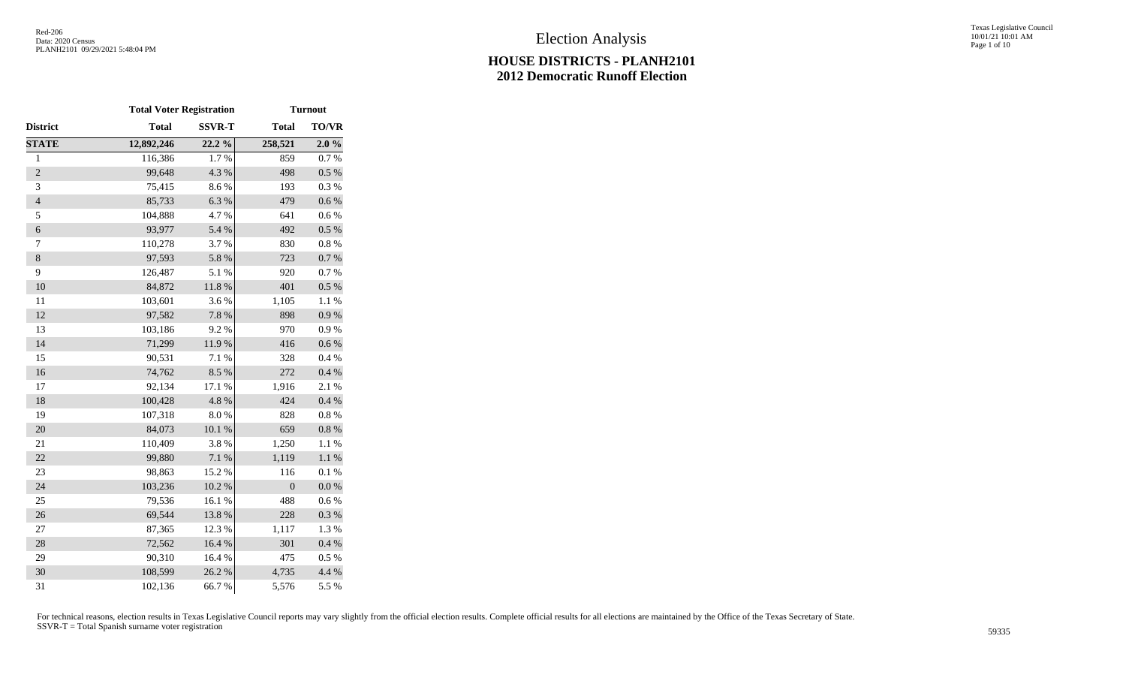|                | <b>Total Voter Registration</b> |               | <b>Turnout</b>   |              |
|----------------|---------------------------------|---------------|------------------|--------------|
| District       | <b>Total</b>                    | <b>SSVR-T</b> | <b>Total</b>     | <b>TO/VR</b> |
| <b>STATE</b>   | 12,892,246                      | 22.2 %        | 258,521          | 2.0%         |
| $\mathbf{1}$   | 116,386                         | 1.7%          | 859              | 0.7%         |
| $\overline{2}$ | 99,648                          | 4.3 %         | 498              | $0.5~\%$     |
| 3              | 75,415                          | 8.6%          | 193              | 0.3%         |
| $\overline{4}$ | 85,733                          | 6.3%          | 479              | $0.6\ \%$    |
| 5              | 104,888                         | 4.7%          | 641              | 0.6 %        |
| $\epsilon$     | 93,977                          | 5.4 %         | 492              | $0.5~\%$     |
| $\tau$         | 110,278                         | 3.7%          | 830              | $0.8~\%$     |
| $\,8\,$        | 97,593                          | 5.8 %         | 723              | $0.7~\%$     |
| 9              | 126,487                         | 5.1 %         | 920              | 0.7%         |
| 10             | 84,872                          | 11.8 %        | 401              | 0.5 %        |
| 11             | 103,601                         | 3.6%          | 1,105            | 1.1 %        |
| 12             | 97,582                          | 7.8 %         | 898              | 0.9 %        |
| 13             | 103,186                         | 9.2%          | 970              | 0.9%         |
| 14             | 71,299                          | 11.9%         | 416              | $0.6\ \%$    |
| 15             | 90,531                          | 7.1 %         | 328              | 0.4 %        |
| 16             | 74,762                          | 8.5 %         | 272              | $0.4~\%$     |
| 17             | 92,134                          | 17.1 %        | 1,916            | 2.1 %        |
| 18             | 100,428                         | 4.8 %         | 424              | 0.4 %        |
| 19             | 107,318                         | $8.0\ \%$     | 828              | $0.8~\%$     |
| 20             | 84,073                          | 10.1%         | 659              | $0.8~\%$     |
| 21             | 110,409                         | 3.8%          | 1,250            | 1.1 %        |
| 22             | 99,880                          | 7.1 %         | 1,119            | $1.1~\%$     |
| 23             | 98,863                          | 15.2 %        | 116              | 0.1%         |
| 24             | 103,236                         | $10.2~\%$     | $\boldsymbol{0}$ | $0.0\ \%$    |
| 25             | 79,536                          | 16.1%         | 488              | 0.6%         |
| 26             | 69,544                          | 13.8 %        | 228              | 0.3 %        |
| $27\,$         | 87,365                          | 12.3 %        | 1,117            | 1.3%         |
| 28             | 72,562                          | 16.4 %        | 301              | 0.4 %        |
| 29             | 90,310                          | 16.4 %        | 475              | 0.5%         |
| 30             | 108,599                         | 26.2%         | 4,735            | 4.4 %        |
| 31             | 102,136                         | 66.7%         | 5,576            | 5.5 %        |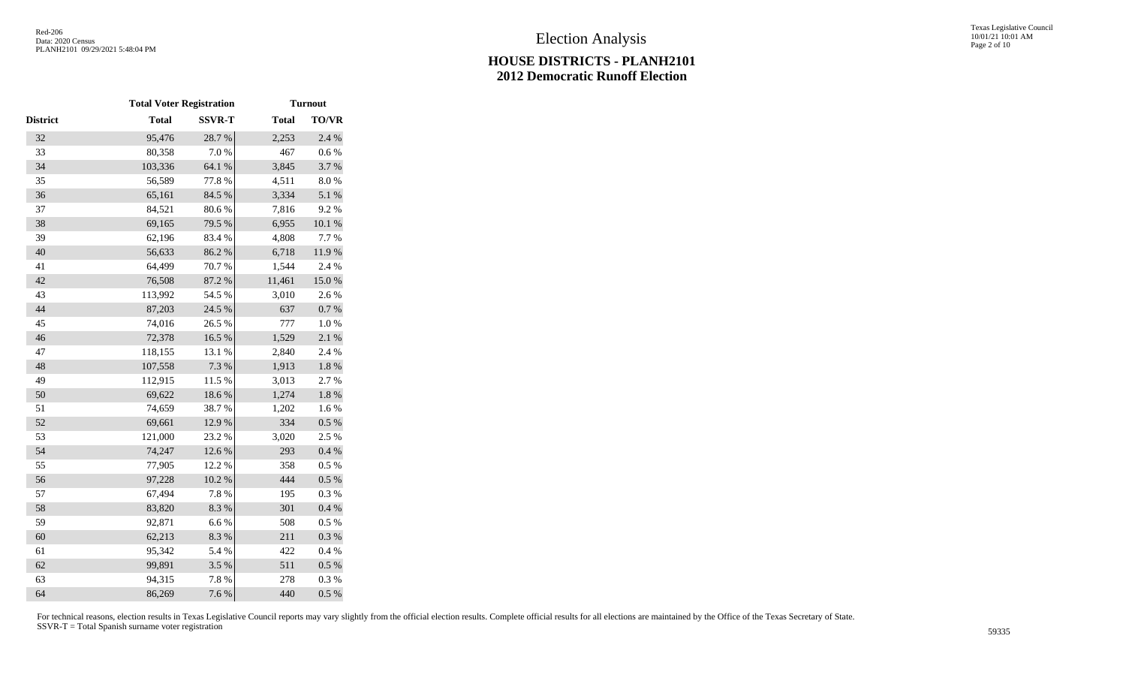|                 | <b>Total Voter Registration</b> |               | <b>Turnout</b> |           |
|-----------------|---------------------------------|---------------|----------------|-----------|
| <b>District</b> | <b>Total</b>                    | <b>SSVR-T</b> | <b>Total</b>   | TO/VR     |
| 32              | 95,476                          | 28.7%         | 2,253          | 2.4 %     |
| 33              | 80,358                          | 7.0 %         | 467            | 0.6 %     |
| 34              | 103,336                         | 64.1 %        | 3,845          | 3.7%      |
| 35              | 56,589                          | 77.8%         | 4,511          | 8.0%      |
| 36              | 65,161                          | 84.5 %        | 3,334          | 5.1 %     |
| 37              | 84,521                          | 80.6%         | 7,816          | 9.2%      |
| 38              | 69,165                          | 79.5 %        | 6,955          | $10.1~\%$ |
| 39              | 62,196                          | 83.4%         | 4,808          | 7.7 %     |
| 40              | 56,633                          | 86.2 %        | 6,718          | 11.9%     |
| 41              | 64,499                          | 70.7%         | 1,544          | 2.4 %     |
| 42              | 76,508                          | 87.2 %        | 11,461         | 15.0%     |
| 43              | 113,992                         | 54.5 %        | 3,010          | 2.6%      |
| 44              | 87,203                          | 24.5 %        | 637            | 0.7 %     |
| 45              | 74,016                          | 26.5 %        | 777            | 1.0%      |
| 46              | 72,378                          | 16.5 %        | 1,529          | 2.1%      |
| 47              | 118,155                         | 13.1 %        | 2,840          | 2.4 %     |
| 48              | 107,558                         | 7.3 %         | 1,913          | $1.8~\%$  |
| 49              | 112,915                         | 11.5 %        | 3,013          | 2.7%      |
| 50              | 69,622                          | 18.6%         | 1,274          | $1.8~\%$  |
| 51              | 74,659                          | 38.7%         | 1,202          | 1.6%      |
| 52              | 69,661                          | 12.9 %        | 334            | $0.5~\%$  |
| 53              | 121,000                         | 23.2 %        | 3,020          | 2.5 %     |
| 54              | 74,247                          | 12.6 %        | 293            | 0.4 %     |
| 55              | 77,905                          | 12.2 %        | 358            | $0.5~\%$  |
| 56              | 97,228                          | $10.2~\%$     | 444            | $0.5~\%$  |
| 57              | 67,494                          | $7.8\ \%$     | 195            | 0.3 %     |
| 58              | 83,820                          | 8.3 %         | 301            | 0.4 %     |
| 59              | 92,871                          | $6.6\;\%$     | 508            | 0.5%      |
| 60              | 62,213                          | 8.3 %         | 211            | 0.3 %     |
| 61              | 95,342                          | 5.4 %         | 422            | 0.4 %     |
| 62              | 99,891                          | 3.5 %         | 511            | $0.5~\%$  |
| 63              | 94,315                          | 7.8 %         | 278            | 0.3%      |
| 64              | 86,269                          | 7.6 %         | 440            | 0.5 %     |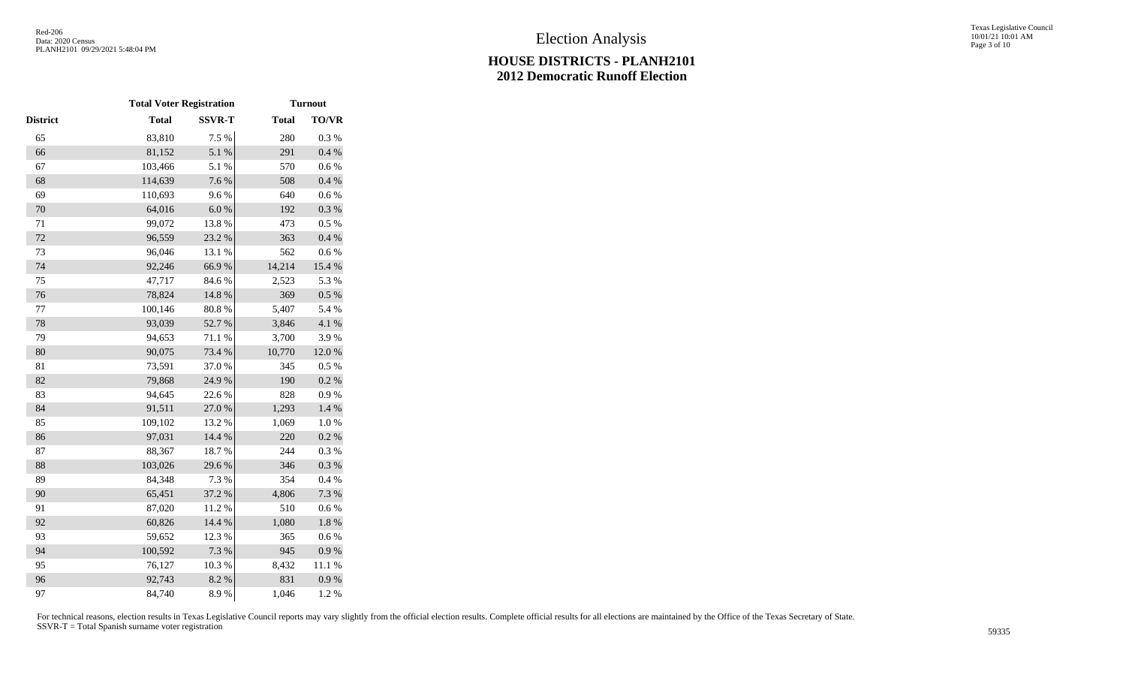|          |              | <b>Total Voter Registration</b> |              | <b>Turnout</b> |  |
|----------|--------------|---------------------------------|--------------|----------------|--|
| District | <b>Total</b> | <b>SSVR-T</b>                   | <b>Total</b> | TO/VR          |  |
| 65       | 83,810       | 7.5 %                           | 280          | 0.3%           |  |
| 66       | 81,152       | 5.1 %                           | 291          | $0.4~\%$       |  |
| 67       | 103,466      | 5.1 %                           | 570          | $0.6\ \%$      |  |
| 68       | 114,639      | 7.6 %                           | 508          | $0.4~\%$       |  |
| 69       | 110,693      | 9.6%                            | 640          | 0.6 %          |  |
| 70       | 64,016       | $6.0\ \%$                       | 192          | 0.3 %          |  |
| $71\,$   | 99,072       | 13.8%                           | 473          | 0.5 %          |  |
| 72       | 96,559       | 23.2 %                          | 363          | $0.4~\%$       |  |
| 73       | 96,046       | 13.1 %                          | 562          | 0.6 %          |  |
| 74       | 92,246       | 66.9%                           | 14,214       | 15.4 %         |  |
| 75       | 47,717       | 84.6%                           | 2,523        | 5.3 %          |  |
| 76       | 78,824       | 14.8 %                          | 369          | $0.5~\%$       |  |
| 77       | 100,146      | $80.8~\%$                       | 5,407        | 5.4 %          |  |
| 78       | 93,039       | 52.7%                           | 3,846        | 4.1 %          |  |
| 79       | 94,653       | 71.1 %                          | 3,700        | 3.9%           |  |
| 80       | 90,075       | 73.4 %                          | 10,770       | 12.0 %         |  |
| 81       | 73,591       | 37.0%                           | 345          | 0.5 %          |  |
| 82       | 79,868       | 24.9%                           | 190          | 0.2 %          |  |
| 83       | 94,645       | 22.6 %                          | 828          | 0.9%           |  |
| 84       | 91,511       | 27.0%                           | 1,293        | $1.4~\%$       |  |
| 85       | 109,102      | 13.2 %                          | 1,069        | $1.0\ \%$      |  |
| 86       | 97,031       | 14.4 %                          | 220          | 0.2 %          |  |
| 87       | 88,367       | 18.7%                           | 244          | 0.3%           |  |
| 88       | 103,026      | 29.6%                           | 346          | 0.3 %          |  |
| 89       | 84,348       | 7.3 %                           | 354          | 0.4%           |  |
| 90       | 65,451       | 37.2 %                          | 4,806        | 7.3 %          |  |
| 91       | 87,020       | 11.2%                           | 510          | 0.6%           |  |
| 92       | 60,826       | 14.4 %                          | 1,080        | $1.8\ \%$      |  |
| 93       | 59,652       | 12.3 %                          | 365          | 0.6%           |  |
| 94       | 100,592      | 7.3 %                           | 945          | 0.9 %          |  |
| 95       | 76,127       | 10.3%                           | 8,432        | 11.1 %         |  |
| 96       | 92,743       | 8.2 %                           | 831          | 0.9 %          |  |
| 97       | 84,740       | 8.9%                            | 1,046        | 1.2%           |  |
|          |              |                                 |              |                |  |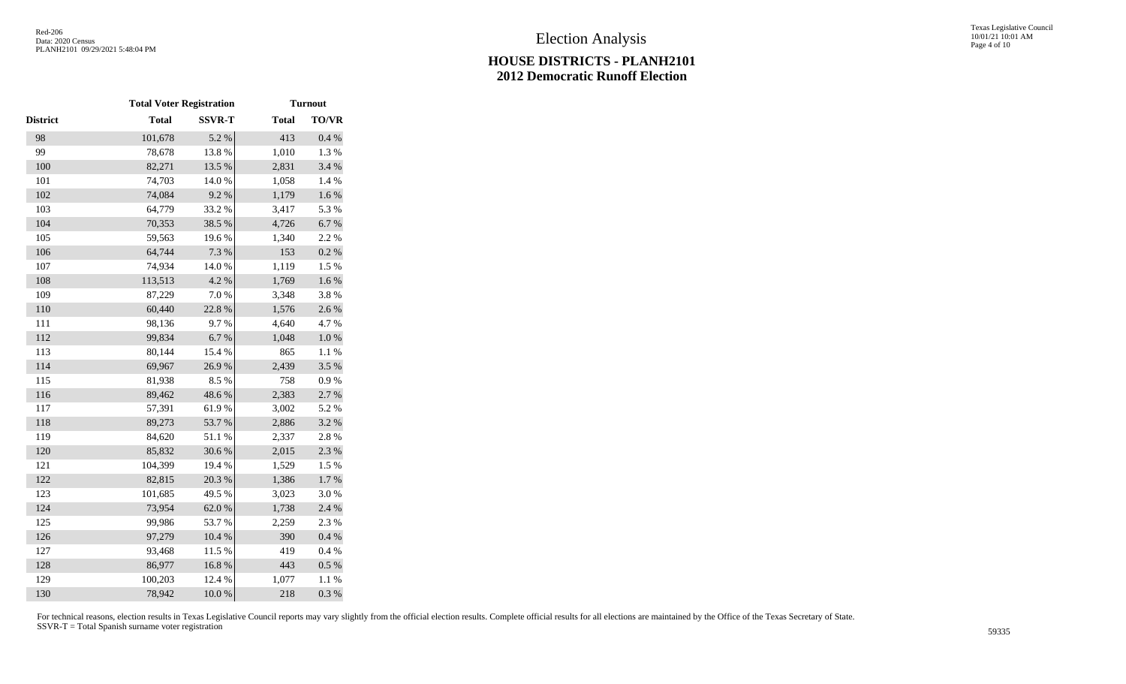|                 |              | <b>Total Voter Registration</b> |              |              |
|-----------------|--------------|---------------------------------|--------------|--------------|
| <b>District</b> | <b>Total</b> | <b>SSVR-T</b>                   | <b>Total</b> | <b>TO/VR</b> |
| 98              | 101,678      | 5.2 %                           | 413          | $0.4~\%$     |
| 99              | 78,678       | 13.8%                           | 1,010        | 1.3 %        |
| 100             | 82,271       | 13.5 %                          | 2,831        | 3.4 %        |
| 101             | 74,703       | $14.0\ \%$                      | 1,058        | 1.4 %        |
| 102             | 74,084       | 9.2%                            | 1,179        | 1.6 %        |
| 103             | 64,779       | 33.2 %                          | 3,417        | 5.3%         |
| 104             | 70,353       | 38.5 %                          | 4,726        | $6.7~\%$     |
| 105             | 59,563       | 19.6%                           | 1,340        | 2.2 %        |
| 106             | 64,744       | 7.3 %                           | 153          | $0.2~\%$     |
| 107             | 74,934       | $14.0\ \%$                      | 1,119        | 1.5%         |
| 108             | 113,513      | 4.2 %                           | 1,769        | 1.6 %        |
| 109             | 87,229       | 7.0 %                           | 3,348        | 3.8%         |
| 110             | 60,440       | 22.8 %                          | 1,576        | 2.6 %        |
| 111             | 98,136       | 9.7%                            | 4,640        | 4.7%         |
| 112             | 99,834       | 6.7%                            | 1,048        | $1.0\ \%$    |
| 113             | 80,144       | 15.4 %                          | 865          | $1.1~\%$     |
| 114             | 69,967       | 26.9%                           | 2,439        | 3.5%         |
| 115             | 81,938       | 8.5%                            | 758          | $0.9\ \%$    |
| 116             | 89,462       | 48.6%                           | 2,383        | 2.7%         |
| 117             | 57,391       | 61.9%                           | 3,002        | 5.2 %        |
| 118             | 89,273       | 53.7%                           | 2,886        | $3.2~\%$     |
| 119             | 84,620       | 51.1%                           | 2,337        | 2.8%         |
| 120             | 85,832       | 30.6%                           | 2,015        | 2.3 %        |
| 121             | 104,399      | 19.4 %                          | 1,529        | 1.5 %        |
| 122             | 82,815       | 20.3 %                          | 1,386        | $1.7~\%$     |
| 123             | 101,685      | 49.5 %                          | 3,023        | $3.0\ \%$    |
| 124             | 73,954       | $62.0\ \%$                      | 1,738        | 2.4 %        |
| 125             | 99,986       | 53.7%                           | 2,259        | 2.3 %        |
| 126             | 97,279       | 10.4 %                          | 390          | 0.4 %        |
| 127             | 93,468       | 11.5 %                          | 419          | $0.4~\%$     |
| 128             | 86,977       | 16.8%                           | 443          | $0.5~\%$     |
| 129             | 100,203      | 12.4 %                          | 1,077        | 1.1 %        |
| 130             | 78,942       | 10.0 %                          | 218          | 0.3 %        |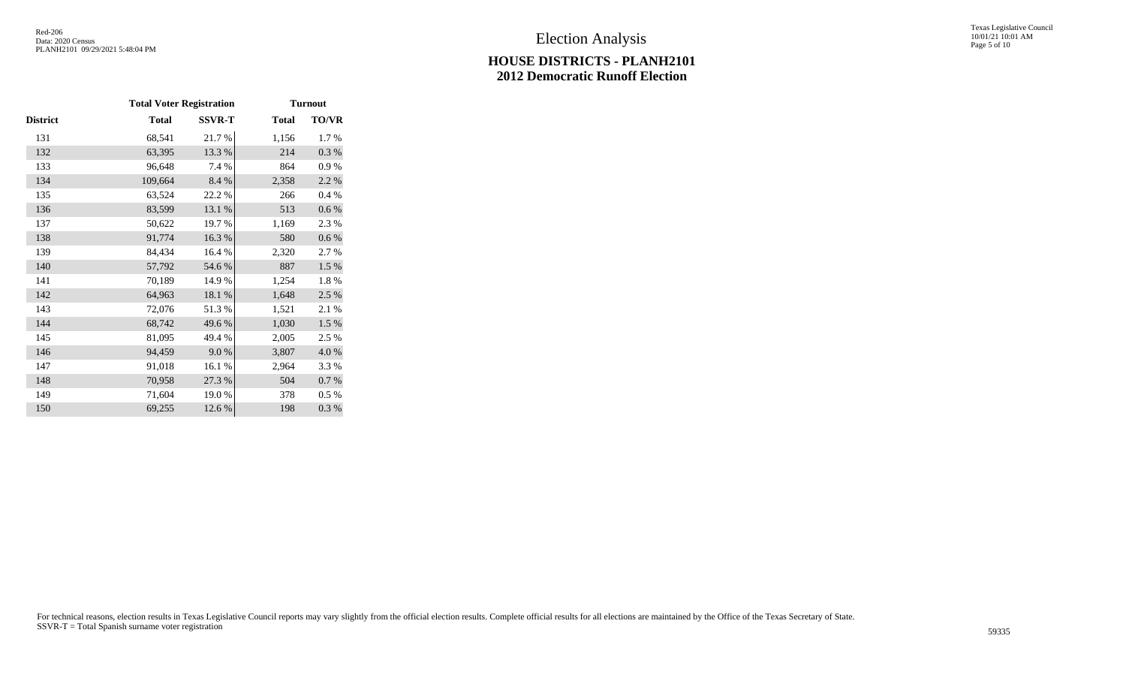|          | <b>Total Voter Registration</b> |               | <b>Turnout</b> |           |
|----------|---------------------------------|---------------|----------------|-----------|
| District | <b>Total</b>                    | <b>SSVR-T</b> | <b>Total</b>   | TO/VR     |
| 131      | 68,541                          | 21.7%         | 1,156          | 1.7%      |
| 132      | 63,395                          | 13.3 %        | 214            | 0.3 %     |
| 133      | 96,648                          | 7.4 %         | 864            | 0.9 %     |
| 134      | 109,664                         | 8.4 %         | 2,358          | 2.2 %     |
| 135      | 63,524                          | 22.2%         | 266            | 0.4 %     |
| 136      | 83,599                          | 13.1 %        | 513            | $0.6\,\%$ |
| 137      | 50,622                          | 19.7%         | 1,169          | 2.3 %     |
| 138      | 91,774                          | 16.3%         | 580            | $0.6\,\%$ |
| 139      | 84,434                          | 16.4 %        | 2,320          | 2.7 %     |
| 140      | 57,792                          | 54.6%         | 887            | 1.5 %     |
| 141      | 70,189                          | 14.9%         | 1,254          | 1.8%      |
| 142      | 64,963                          | 18.1 %        | 1,648          | 2.5 %     |
| 143      | 72,076                          | 51.3%         | 1,521          | 2.1 %     |
| 144      | 68,742                          | 49.6%         | 1,030          | 1.5 %     |
| 145      | 81,095                          | 49.4 %        | 2,005          | 2.5 %     |
| 146      | 94,459                          | 9.0%          | 3,807          | 4.0%      |
| 147      | 91,018                          | 16.1 %        | 2,964          | 3.3 %     |
| 148      | 70,958                          | 27.3 %        | 504            | 0.7 %     |
| 149      | 71,604                          | 19.0%         | 378            | $0.5\%$   |
| 150      | 69,255                          | 12.6 %        | 198            | 0.3%      |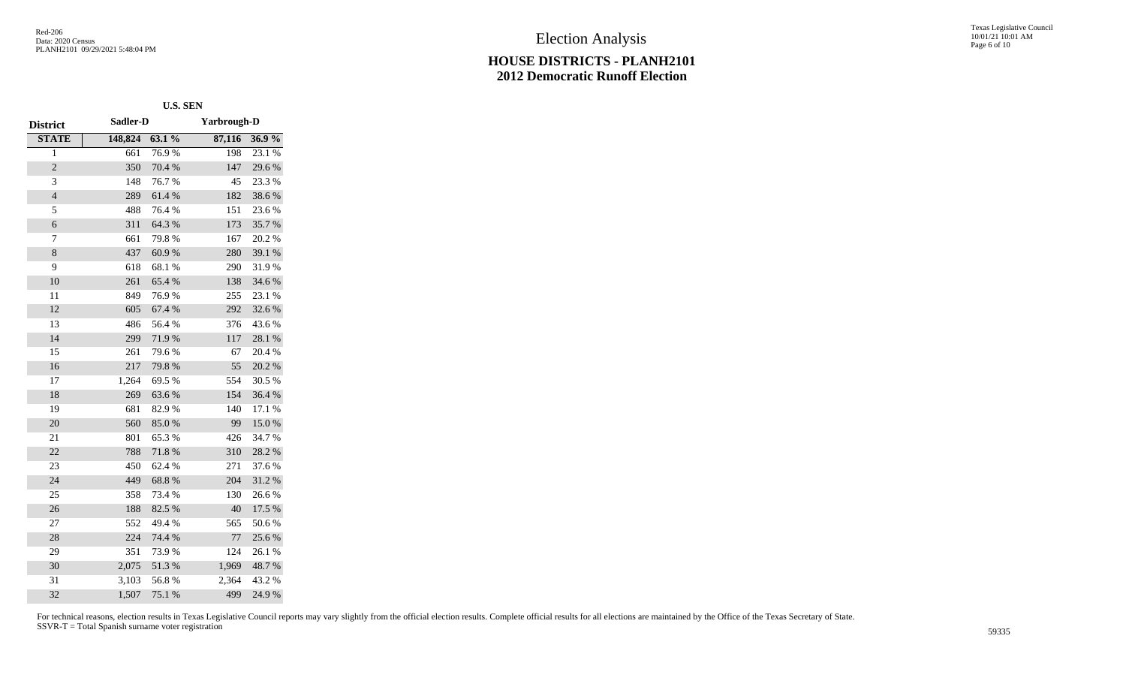Texas Legislative Council 10/01/21 10:01 AM Page 6 of 10

|                 |          | U.S. SEN |                    |        |  |
|-----------------|----------|----------|--------------------|--------|--|
| <b>District</b> | Sadler-D |          | <b>Yarbrough-D</b> |        |  |
| <b>STATE</b>    | 148,824  | 63.1%    | 87,116             | 36.9%  |  |
| $\overline{1}$  | 661      | 76.9%    | 198                | 23.1 % |  |
| $\overline{c}$  | 350      | 70.4 %   | 147                | 29.6%  |  |
| 3               | 148      | 76.7%    | 45                 | 23.3 % |  |
| $\overline{4}$  | 289      | 61.4%    | 182                | 38.6%  |  |
| 5               | 488      | 76.4%    | 151                | 23.6%  |  |
| 6               | 311      | 64.3%    | 173                | 35.7%  |  |
| 7               | 661      | 79.8%    | 167                | 20.2%  |  |
| 8               | 437      | 60.9%    | 280                | 39.1 % |  |
| 9               | 618      | 68.1 %   | 290                | 31.9%  |  |
| 10              | 261      | 65.4%    | 138                | 34.6 % |  |
| 11              | 849      | 76.9%    | 255                | 23.1 % |  |
| 12              | 605      | 67.4 %   | 292                | 32.6%  |  |
| 13              | 486      | 56.4 %   | 376                | 43.6%  |  |
| 14              | 299      | 71.9%    | 117                | 28.1 % |  |
| 15              | 261      | 79.6%    | 67                 | 20.4 % |  |
| 16              | 217      | 79.8%    | 55                 | 20.2 % |  |
| 17              | 1,264    | 69.5 %   | 554                | 30.5 % |  |
| 18              | 269      | 63.6%    | 154                | 36.4%  |  |
| 19              | 681      | 82.9%    | 140                | 17.1 % |  |
| 20              | 560      | 85.0%    | 99                 | 15.0%  |  |
| 21              | 801      | 65.3%    | 426                | 34.7%  |  |
| 22              | 788      | 71.8%    | 310                | 28.2%  |  |
| 23              | 450      | 62.4 %   | 271                | 37.6 % |  |
| 24              | 449      | 68.8%    | 204                | 31.2%  |  |
| 25              | 358      | 73.4 %   | 130                | 26.6%  |  |
| 26              | 188      | 82.5 %   | 40                 | 17.5 % |  |
| 27              | 552      | 49.4 %   | 565                | 50.6%  |  |
| 28              | 224      | 74.4 %   | 77                 | 25.6 % |  |
| 29              | 351      | 73.9%    | 124                | 26.1 % |  |
| 30              | 2,075    | 51.3 %   | 1,969              | 48.7%  |  |
| 31              | 3,103    | 56.8%    | 2,364              | 43.2 % |  |
| 32              | 1,507    | 75.1 %   | 499                | 24.9%  |  |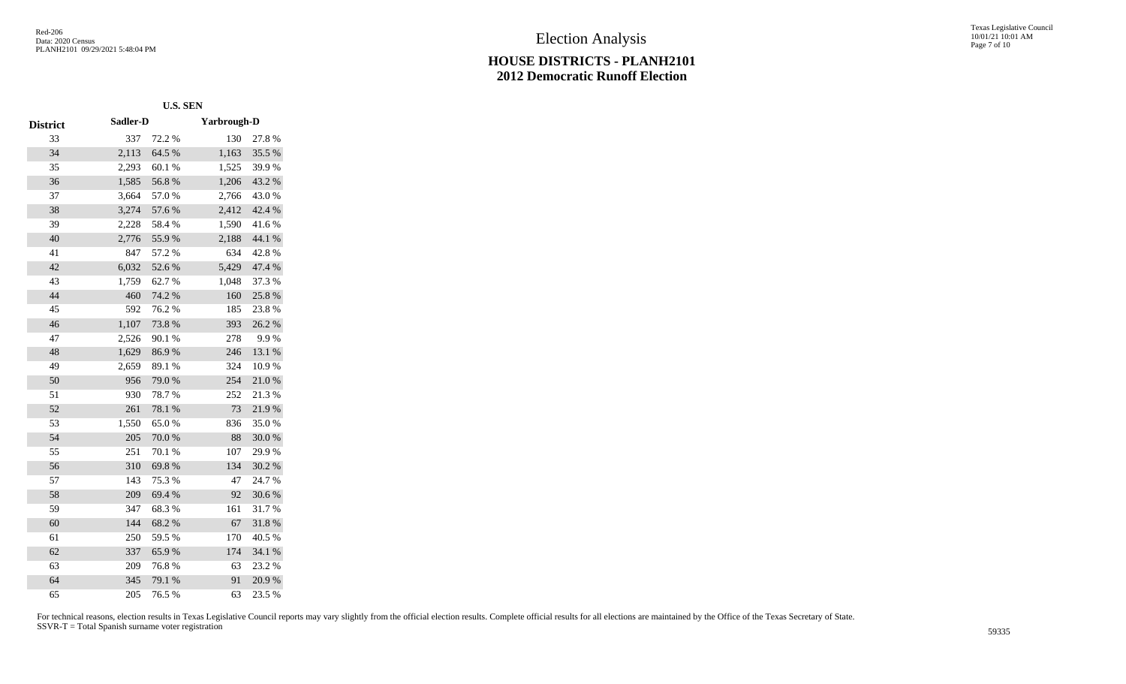Texas Legislative Council 10/01/21 10:01 AM Page 7 of 10

|                 | <b>U.S. SEN</b> |        |                    |        |
|-----------------|-----------------|--------|--------------------|--------|
| <b>District</b> | Sadler-D        |        | <b>Yarbrough-D</b> |        |
| 33              | 337             | 72.2 % | 130                | 27.8%  |
| 34              | 2,113           | 64.5 % | 1,163              | 35.5 % |
| 35              | 2,293           | 60.1%  | 1,525              | 39.9%  |
| 36              | 1,585           | 56.8%  | 1,206              | 43.2 % |
| 37              | 3,664           | 57.0%  | 2,766              | 43.0%  |
| 38              | 3,274           | 57.6%  | 2,412              | 42.4 % |
| 39              | 2,228           | 58.4%  | 1,590              | 41.6%  |
| 40              | 2,776           | 55.9%  | 2,188              | 44.1 % |
| 41              | 847             | 57.2 % | 634                | 42.8%  |
| 42              | 6,032           | 52.6%  | 5,429              | 47.4 % |
| 43              | 1,759           | 62.7%  | 1,048              | 37.3 % |
| 44              | 460             | 74.2 % | 160                | 25.8%  |
| 45              | 592             | 76.2%  | 185                | 23.8%  |
| 46              | 1,107           | 73.8%  | 393                | 26.2 % |
| 47              | 2,526           | 90.1 % | 278                | 9.9%   |
| 48              | 1,629           | 86.9%  | 246                | 13.1 % |
| 49              | 2,659           | 89.1 % | 324                | 10.9%  |
| 50              | 956             | 79.0%  | 254                | 21.0%  |
| 51              | 930             | 78.7%  | 252                | 21.3%  |
| 52              | 261             | 78.1 % | 73                 | 21.9%  |
| 53              | 1,550           | 65.0%  | 836                | 35.0%  |
| 54              | 205             | 70.0%  | 88                 | 30.0%  |
| 55              | 251             | 70.1 % | 107                | 29.9%  |
| 56              | 310             | 69.8%  | 134                | 30.2 % |
| 57              | 143             | 75.3 % | 47                 | 24.7%  |
| 58              | 209             | 69.4 % | 92                 | 30.6%  |
| 59              | 347             | 68.3%  | 161                | 31.7%  |
| 60              | 144             | 68.2%  | 67                 | 31.8%  |
| 61              | 250             | 59.5 % | 170                | 40.5 % |
| 62              | 337             | 65.9%  | 174                | 34.1 % |
| 63              | 209             | 76.8%  | 63                 | 23.2 % |
| 64              | 345             | 79.1 % | 91                 | 20.9%  |
| 65              | 205             | 76.5 % | 63                 | 23.5 % |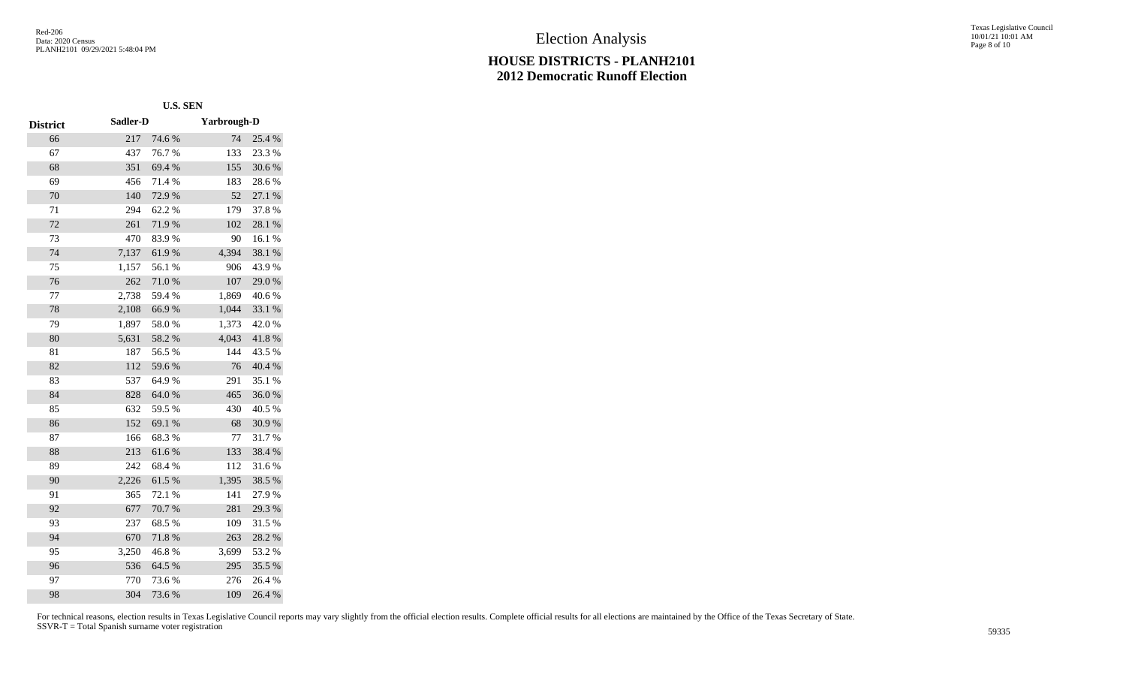Texas Legislative Council 10/01/21 10:01 AM Page 8 of 10

|                 | <b>U.S. SEN</b> |        |             |        |
|-----------------|-----------------|--------|-------------|--------|
| <b>District</b> | Sadler-D        |        | Yarbrough-D |        |
| 66              | 217             | 74.6%  | 74          | 25.4 % |
| 67              | 437             | 76.7%  | 133         | 23.3 % |
| 68              | 351             | 69.4 % | 155         | 30.6%  |
| 69              | 456             | 71.4%  | 183         | 28.6%  |
| 70              | 140             | 72.9%  | 52          | 27.1 % |
| 71              | 294             | 62.2%  | 179         | 37.8%  |
| 72              | 261             | 71.9%  | 102         | 28.1%  |
| 73              | 470             | 83.9%  | 90          | 16.1%  |
| 74              | 7,137           | 61.9%  | 4,394       | 38.1 % |
| 75              | 1,157           | 56.1%  | 906         | 43.9%  |
| 76              | 262             | 71.0%  | 107         | 29.0%  |
| 77              | 2,738           | 59.4%  | 1,869       | 40.6%  |
| 78              | 2,108           | 66.9%  | 1,044       | 33.1 % |
| 79              | 1,897           | 58.0%  | 1,373       | 42.0%  |
| 80              | 5,631           | 58.2%  | 4,043       | 41.8%  |
| 81              | 187             | 56.5%  | 144         | 43.5 % |
| 82              | 112             | 59.6%  | 76          | 40.4 % |
| 83              | 537             | 64.9%  | 291         | 35.1 % |
| 84              | 828             | 64.0%  | 465         | 36.0%  |
| 85              | 632             | 59.5 % | 430         | 40.5 % |
| 86              | 152             | 69.1 % | 68          | 30.9%  |
| 87              | 166             | 68.3%  | 77          | 31.7%  |
| 88              | 213             | 61.6%  | 133         | 38.4%  |
| 89              | 242             | 68.4%  | 112         | 31.6%  |
| 90              | 2,226           | 61.5%  | 1,395       | 38.5%  |
| 91              | 365             | 72.1 % | 141         | 27.9%  |
| 92              | 677             | 70.7%  | 281         | 29.3 % |
| 93              | 237             | 68.5%  | 109         | 31.5 % |
| 94              | 670             | 71.8%  | 263         | 28.2%  |
| 95              | 3,250           | 46.8%  | 3,699       | 53.2 % |
| 96              | 536             | 64.5 % | 295         | 35.5 % |
| 97              | 770             | 73.6%  | 276         | 26.4 % |
| 98              | 304             | 73.6%  | 109         | 26.4%  |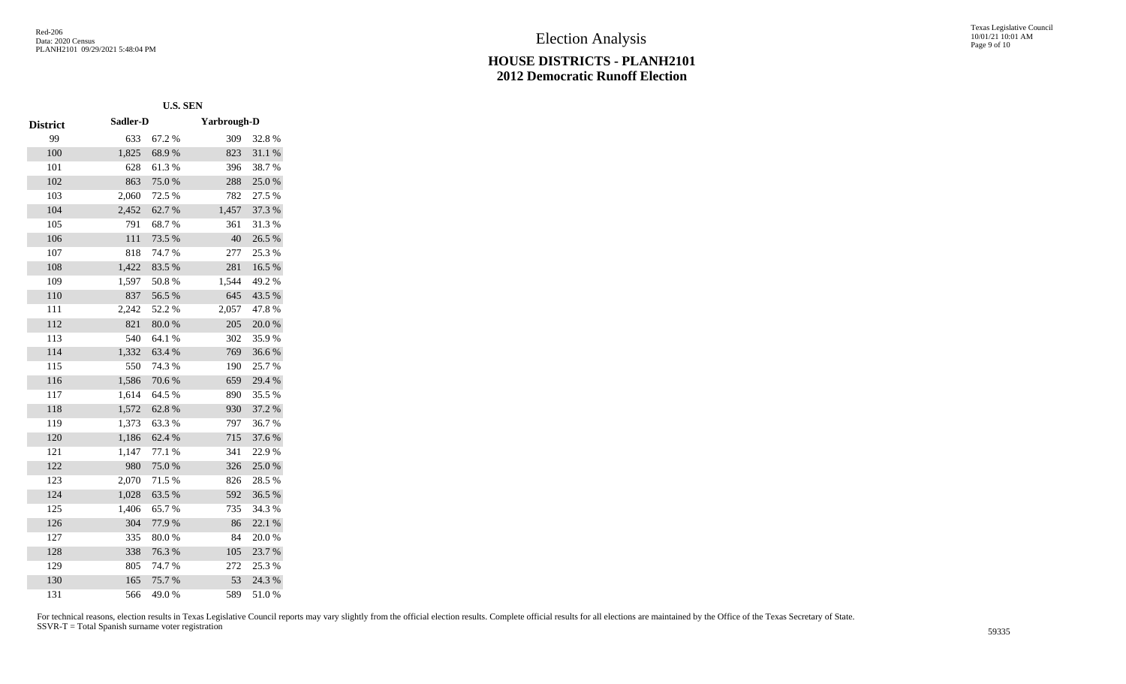Texas Legislative Council 10/01/21 10:01 AM Page 9 of 10

|                 | <b>U.S. SEN</b> |        |                    |        |
|-----------------|-----------------|--------|--------------------|--------|
| <b>District</b> | Sadler-D        |        | <b>Yarbrough-D</b> |        |
| 99              | 633             | 67.2 % | 309                | 32.8%  |
| 100             | 1,825           | 68.9%  | 823                | 31.1%  |
| 101             | 628             | 61.3%  | 396                | 38.7%  |
| 102             | 863             | 75.0%  | 288                | 25.0%  |
| 103             | 2,060           | 72.5 % | 782                | 27.5 % |
| 104             | 2,452           | 62.7%  | 1,457              | 37.3 % |
| 105             | 791             | 68.7%  | 361                | 31.3%  |
| 106             | 111             | 73.5 % | 40                 | 26.5%  |
| 107             | 818             | 74.7%  | 277                | 25.3%  |
| 108             | 1,422           | 83.5%  | 281                | 16.5 % |
| 109             | 1,597           | 50.8%  | 1,544              | 49.2 % |
| 110             | 837             | 56.5 % | 645                | 43.5 % |
| 111             | 2,242           | 52.2 % | 2,057              | 47.8%  |
| 112             | 821             | 80.0%  | 205                | 20.0%  |
| 113             | 540             | 64.1 % | 302                | 35.9%  |
| 114             | 1,332           | 63.4%  | 769                | 36.6%  |
| 115             | 550             | 74.3 % | 190                | 25.7 % |
| 116             | 1,586           | 70.6%  | 659                | 29.4 % |
| 117             | 1,614           | 64.5 % | 890                | 35.5 % |
| 118             | 1,572           | 62.8%  | 930                | 37.2 % |
| 119             | 1,373           | 63.3%  | 797                | 36.7%  |
| 120             | 1,186           | 62.4%  | 715                | 37.6 % |
| 121             | 1,147           | 77.1 % | 341                | 22.9%  |
| 122             | 980             | 75.0%  | 326                | 25.0%  |
| 123             | 2,070           | 71.5 % | 826                | 28.5 % |
| 124             | 1,028           | 63.5 % | 592                | 36.5 % |
| 125             | 1,406           | 65.7%  | 735                | 34.3 % |
| 126             | 304             | 77.9%  | 86                 | 22.1 % |
| 127             | 335             | 80.0%  | 84                 | 20.0%  |
| 128             | 338             | 76.3%  | 105                | 23.7 % |
| 129             | 805             | 74.7%  | 272                | 25.3 % |
| 130             | 165             | 75.7%  | 53                 | 24.3 % |
| 131             | 566             | 49.0%  | 589                | 51.0%  |